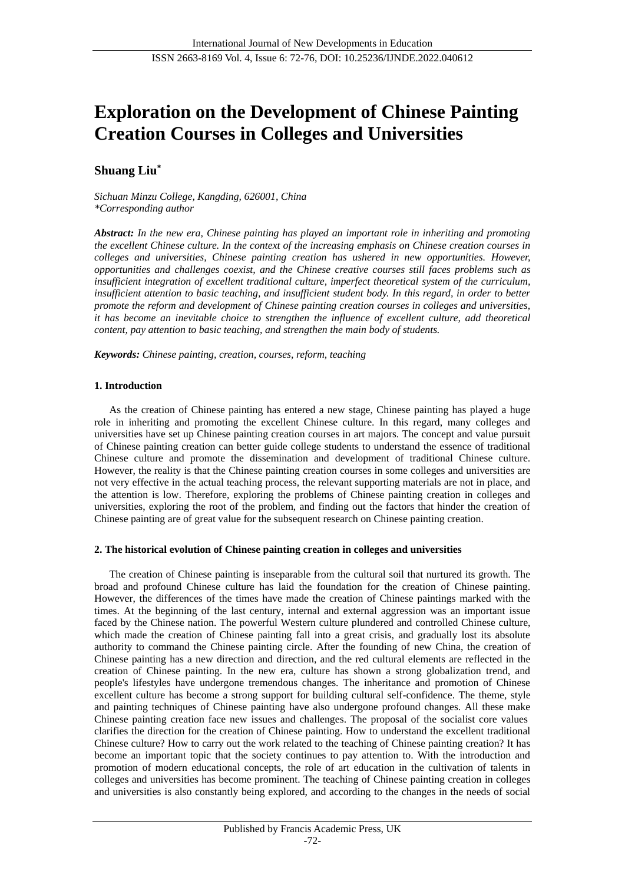# **Exploration on the Development of Chinese Painting Creation Courses in Colleges and Universities**

## **Shuang Liu\***

*Sichuan Minzu College, Kangding, 626001, China \*Corresponding author*

*Abstract: In the new era, Chinese painting has played an important role in inheriting and promoting the excellent Chinese culture. In the context of the increasing emphasis on Chinese creation courses in colleges and universities, Chinese painting creation has ushered in new opportunities. However, opportunities and challenges coexist, and the Chinese creative courses still faces problems such as insufficient integration of excellent traditional culture, imperfect theoretical system of the curriculum, insufficient attention to basic teaching, and insufficient student body. In this regard, in order to better promote the reform and development of Chinese painting creation courses in colleges and universities, it has become an inevitable choice to strengthen the influence of excellent culture, add theoretical content, pay attention to basic teaching, and strengthen the main body of students.*

*Keywords: Chinese painting, creation, courses, reform, teaching*

## **1. Introduction**

As the creation of Chinese painting has entered a new stage, Chinese painting has played a huge role in inheriting and promoting the excellent Chinese culture. In this regard, many colleges and universities have set up Chinese painting creation courses in art majors. The concept and value pursuit of Chinese painting creation can better guide college students to understand the essence of traditional Chinese culture and promote the dissemination and development of traditional Chinese culture. However, the reality is that the Chinese painting creation courses in some colleges and universities are not very effective in the actual teaching process, the relevant supporting materials are not in place, and the attention is low. Therefore, exploring the problems of Chinese painting creation in colleges and universities, exploring the root of the problem, and finding out the factors that hinder the creation of Chinese painting are of great value for the subsequent research on Chinese painting creation.

## **2. The historical evolution of Chinese painting creation in colleges and universities**

The creation of Chinese painting is inseparable from the cultural soil that nurtured its growth. The broad and profound Chinese culture has laid the foundation for the creation of Chinese painting. However, the differences of the times have made the creation of Chinese paintings marked with the times. At the beginning of the last century, internal and external aggression was an important issue faced by the Chinese nation. The powerful Western culture plundered and controlled Chinese culture, which made the creation of Chinese painting fall into a great crisis, and gradually lost its absolute authority to command the Chinese painting circle. After the founding of new China, the creation of Chinese painting has a new direction and direction, and the red cultural elements are reflected in the creation of Chinese painting. In the new era, culture has shown a strong globalization trend, and people's lifestyles have undergone tremendous changes. The inheritance and promotion of Chinese excellent culture has become a strong support for building cultural self-confidence. The theme, style and painting techniques of Chinese painting have also undergone profound changes. All these make Chinese painting creation face new issues and challenges. The proposal of the socialist core values clarifies the direction for the creation of Chinese painting. How to understand the excellent traditional Chinese culture? How to carry out the work related to the teaching of Chinese painting creation? It has become an important topic that the society continues to pay attention to. With the introduction and promotion of modern educational concepts, the role of art education in the cultivation of talents in colleges and universities has become prominent. The teaching of Chinese painting creation in colleges and universities is also constantly being explored, and according to the changes in the needs of social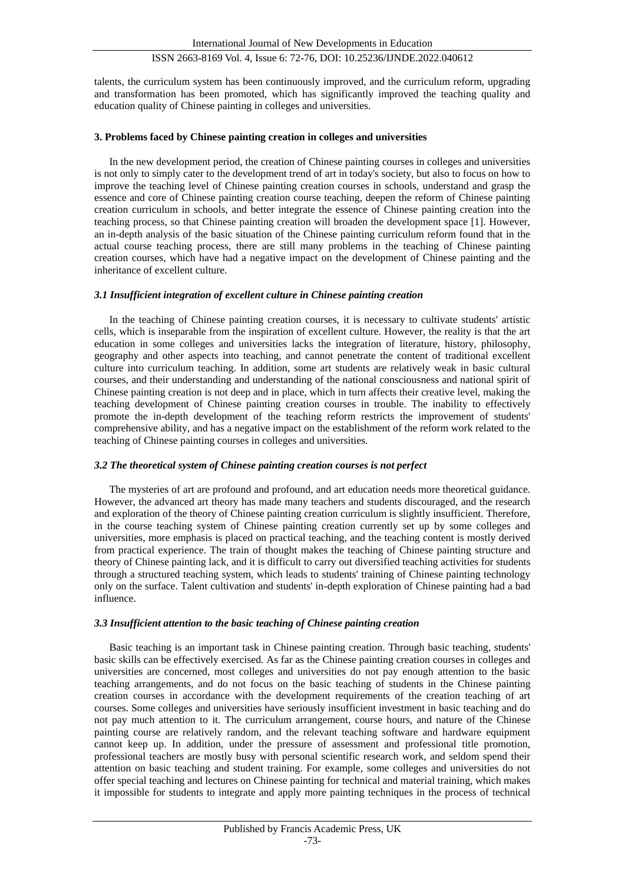talents, the curriculum system has been continuously improved, and the curriculum reform, upgrading and transformation has been promoted, which has significantly improved the teaching quality and education quality of Chinese painting in colleges and universities.

## **3. Problems faced by Chinese painting creation in colleges and universities**

In the new development period, the creation of Chinese painting courses in colleges and universities is not only to simply cater to the development trend of art in today's society, but also to focus on how to improve the teaching level of Chinese painting creation courses in schools, understand and grasp the essence and core of Chinese painting creation course teaching, deepen the reform of Chinese painting creation curriculum in schools, and better integrate the essence of Chinese painting creation into the teaching process, so that Chinese painting creation will broaden the development space [1]. However, an in-depth analysis of the basic situation of the Chinese painting curriculum reform found that in the actual course teaching process, there are still many problems in the teaching of Chinese painting creation courses, which have had a negative impact on the development of Chinese painting and the inheritance of excellent culture.

#### *3.1 Insufficient integration of excellent culture in Chinese painting creation*

In the teaching of Chinese painting creation courses, it is necessary to cultivate students' artistic cells, which is inseparable from the inspiration of excellent culture. However, the reality is that the art education in some colleges and universities lacks the integration of literature, history, philosophy, geography and other aspects into teaching, and cannot penetrate the content of traditional excellent culture into curriculum teaching. In addition, some art students are relatively weak in basic cultural courses, and their understanding and understanding of the national consciousness and national spirit of Chinese painting creation is not deep and in place, which in turn affects their creative level, making the teaching development of Chinese painting creation courses in trouble. The inability to effectively promote the in-depth development of the teaching reform restricts the improvement of students' comprehensive ability, and has a negative impact on the establishment of the reform work related to the teaching of Chinese painting courses in colleges and universities.

## *3.2 The theoretical system of Chinese painting creation courses is not perfect*

The mysteries of art are profound and profound, and art education needs more theoretical guidance. However, the advanced art theory has made many teachers and students discouraged, and the research and exploration of the theory of Chinese painting creation curriculum is slightly insufficient. Therefore, in the course teaching system of Chinese painting creation currently set up by some colleges and universities, more emphasis is placed on practical teaching, and the teaching content is mostly derived from practical experience. The train of thought makes the teaching of Chinese painting structure and theory of Chinese painting lack, and it is difficult to carry out diversified teaching activities for students through a structured teaching system, which leads to students' training of Chinese painting technology only on the surface. Talent cultivation and students' in-depth exploration of Chinese painting had a bad influence.

#### *3.3 Insufficient attention to the basic teaching of Chinese painting creation*

Basic teaching is an important task in Chinese painting creation. Through basic teaching, students' basic skills can be effectively exercised. As far as the Chinese painting creation courses in colleges and universities are concerned, most colleges and universities do not pay enough attention to the basic teaching arrangements, and do not focus on the basic teaching of students in the Chinese painting creation courses in accordance with the development requirements of the creation teaching of art courses. Some colleges and universities have seriously insufficient investment in basic teaching and do not pay much attention to it. The curriculum arrangement, course hours, and nature of the Chinese painting course are relatively random, and the relevant teaching software and hardware equipment cannot keep up. In addition, under the pressure of assessment and professional title promotion, professional teachers are mostly busy with personal scientific research work, and seldom spend their attention on basic teaching and student training. For example, some colleges and universities do not offer special teaching and lectures on Chinese painting for technical and material training, which makes it impossible for students to integrate and apply more painting techniques in the process of technical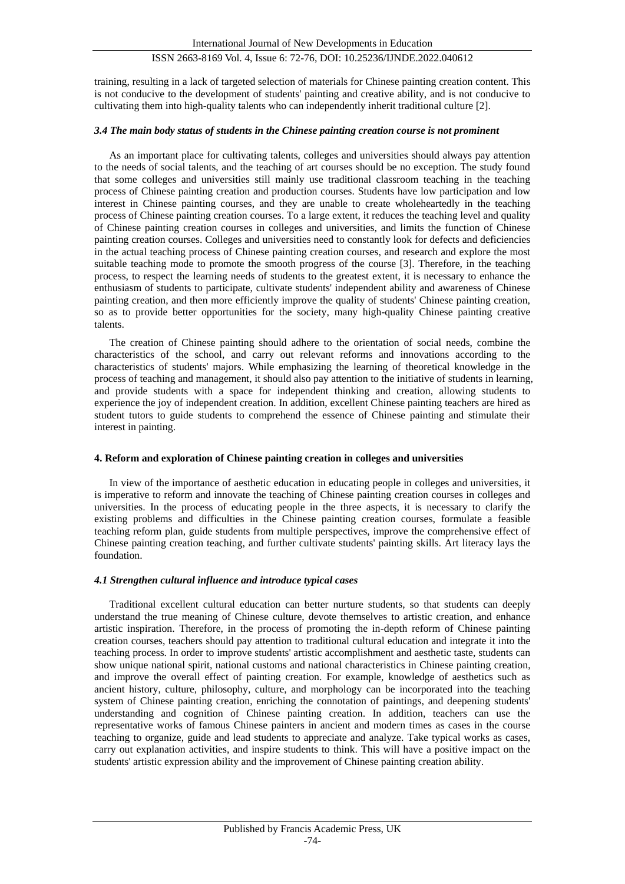training, resulting in a lack of targeted selection of materials for Chinese painting creation content. This is not conducive to the development of students' painting and creative ability, and is not conducive to cultivating them into high-quality talents who can independently inherit traditional culture [2].

#### *3.4 The main body status of students in the Chinese painting creation course is not prominent*

As an important place for cultivating talents, colleges and universities should always pay attention to the needs of social talents, and the teaching of art courses should be no exception. The study found that some colleges and universities still mainly use traditional classroom teaching in the teaching process of Chinese painting creation and production courses. Students have low participation and low interest in Chinese painting courses, and they are unable to create wholeheartedly in the teaching process of Chinese painting creation courses. To a large extent, it reduces the teaching level and quality of Chinese painting creation courses in colleges and universities, and limits the function of Chinese painting creation courses. Colleges and universities need to constantly look for defects and deficiencies in the actual teaching process of Chinese painting creation courses, and research and explore the most suitable teaching mode to promote the smooth progress of the course [3]. Therefore, in the teaching process, to respect the learning needs of students to the greatest extent, it is necessary to enhance the enthusiasm of students to participate, cultivate students' independent ability and awareness of Chinese painting creation, and then more efficiently improve the quality of students' Chinese painting creation, so as to provide better opportunities for the society, many high-quality Chinese painting creative talents.

The creation of Chinese painting should adhere to the orientation of social needs, combine the characteristics of the school, and carry out relevant reforms and innovations according to the characteristics of students' majors. While emphasizing the learning of theoretical knowledge in the process of teaching and management, it should also pay attention to the initiative of students in learning, and provide students with a space for independent thinking and creation, allowing students to experience the joy of independent creation. In addition, excellent Chinese painting teachers are hired as student tutors to guide students to comprehend the essence of Chinese painting and stimulate their interest in painting.

#### **4. Reform and exploration of Chinese painting creation in colleges and universities**

In view of the importance of aesthetic education in educating people in colleges and universities, it is imperative to reform and innovate the teaching of Chinese painting creation courses in colleges and universities. In the process of educating people in the three aspects, it is necessary to clarify the existing problems and difficulties in the Chinese painting creation courses, formulate a feasible teaching reform plan, guide students from multiple perspectives, improve the comprehensive effect of Chinese painting creation teaching, and further cultivate students' painting skills. Art literacy lays the foundation.

## *4.1 Strengthen cultural influence and introduce typical cases*

Traditional excellent cultural education can better nurture students, so that students can deeply understand the true meaning of Chinese culture, devote themselves to artistic creation, and enhance artistic inspiration. Therefore, in the process of promoting the in-depth reform of Chinese painting creation courses, teachers should pay attention to traditional cultural education and integrate it into the teaching process. In order to improve students' artistic accomplishment and aesthetic taste, students can show unique national spirit, national customs and national characteristics in Chinese painting creation, and improve the overall effect of painting creation. For example, knowledge of aesthetics such as ancient history, culture, philosophy, culture, and morphology can be incorporated into the teaching system of Chinese painting creation, enriching the connotation of paintings, and deepening students' understanding and cognition of Chinese painting creation. In addition, teachers can use the representative works of famous Chinese painters in ancient and modern times as cases in the course teaching to organize, guide and lead students to appreciate and analyze. Take typical works as cases, carry out explanation activities, and inspire students to think. This will have a positive impact on the students' artistic expression ability and the improvement of Chinese painting creation ability.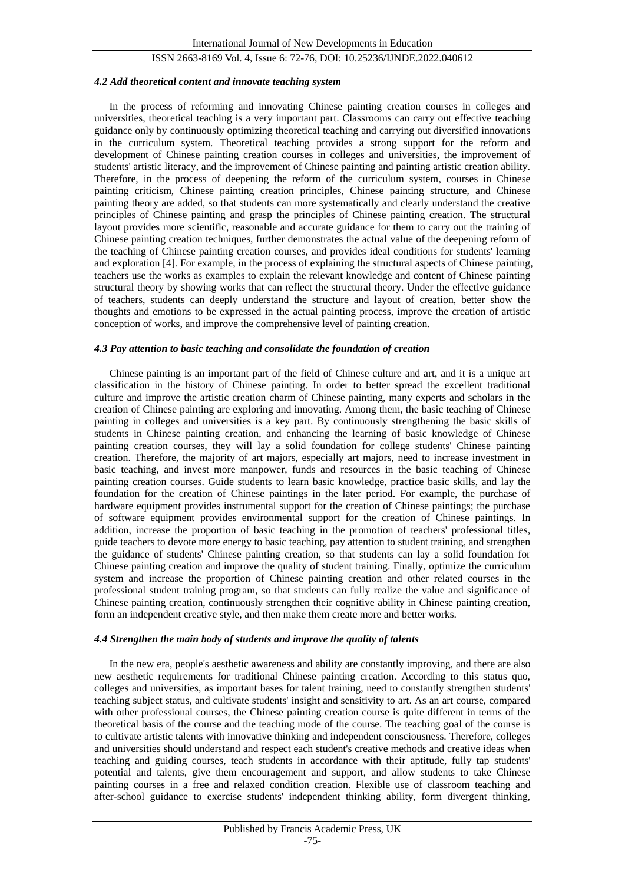#### *4.2 Add theoretical content and innovate teaching system*

In the process of reforming and innovating Chinese painting creation courses in colleges and universities, theoretical teaching is a very important part. Classrooms can carry out effective teaching guidance only by continuously optimizing theoretical teaching and carrying out diversified innovations in the curriculum system. Theoretical teaching provides a strong support for the reform and development of Chinese painting creation courses in colleges and universities, the improvement of students' artistic literacy, and the improvement of Chinese painting and painting artistic creation ability. Therefore, in the process of deepening the reform of the curriculum system, courses in Chinese painting criticism, Chinese painting creation principles, Chinese painting structure, and Chinese painting theory are added, so that students can more systematically and clearly understand the creative principles of Chinese painting and grasp the principles of Chinese painting creation. The structural layout provides more scientific, reasonable and accurate guidance for them to carry out the training of Chinese painting creation techniques, further demonstrates the actual value of the deepening reform of the teaching of Chinese painting creation courses, and provides ideal conditions for students' learning and exploration [4]. For example, in the process of explaining the structural aspects of Chinese painting, teachers use the works as examples to explain the relevant knowledge and content of Chinese painting structural theory by showing works that can reflect the structural theory. Under the effective guidance of teachers, students can deeply understand the structure and layout of creation, better show the thoughts and emotions to be expressed in the actual painting process, improve the creation of artistic conception of works, and improve the comprehensive level of painting creation.

## *4.3 Pay attention to basic teaching and consolidate the foundation of creation*

Chinese painting is an important part of the field of Chinese culture and art, and it is a unique art classification in the history of Chinese painting. In order to better spread the excellent traditional culture and improve the artistic creation charm of Chinese painting, many experts and scholars in the creation of Chinese painting are exploring and innovating. Among them, the basic teaching of Chinese painting in colleges and universities is a key part. By continuously strengthening the basic skills of students in Chinese painting creation, and enhancing the learning of basic knowledge of Chinese painting creation courses, they will lay a solid foundation for college students' Chinese painting creation. Therefore, the majority of art majors, especially art majors, need to increase investment in basic teaching, and invest more manpower, funds and resources in the basic teaching of Chinese painting creation courses. Guide students to learn basic knowledge, practice basic skills, and lay the foundation for the creation of Chinese paintings in the later period. For example, the purchase of hardware equipment provides instrumental support for the creation of Chinese paintings; the purchase of software equipment provides environmental support for the creation of Chinese paintings. In addition, increase the proportion of basic teaching in the promotion of teachers' professional titles, guide teachers to devote more energy to basic teaching, pay attention to student training, and strengthen the guidance of students' Chinese painting creation, so that students can lay a solid foundation for Chinese painting creation and improve the quality of student training. Finally, optimize the curriculum system and increase the proportion of Chinese painting creation and other related courses in the professional student training program, so that students can fully realize the value and significance of Chinese painting creation, continuously strengthen their cognitive ability in Chinese painting creation, form an independent creative style, and then make them create more and better works.

#### *4.4 Strengthen the main body of students and improve the quality of talents*

In the new era, people's aesthetic awareness and ability are constantly improving, and there are also new aesthetic requirements for traditional Chinese painting creation. According to this status quo, colleges and universities, as important bases for talent training, need to constantly strengthen students' teaching subject status, and cultivate students' insight and sensitivity to art. As an art course, compared with other professional courses, the Chinese painting creation course is quite different in terms of the theoretical basis of the course and the teaching mode of the course. The teaching goal of the course is to cultivate artistic talents with innovative thinking and independent consciousness. Therefore, colleges and universities should understand and respect each student's creative methods and creative ideas when teaching and guiding courses, teach students in accordance with their aptitude, fully tap students' potential and talents, give them encouragement and support, and allow students to take Chinese painting courses in a free and relaxed condition creation. Flexible use of classroom teaching and after-school guidance to exercise students' independent thinking ability, form divergent thinking,